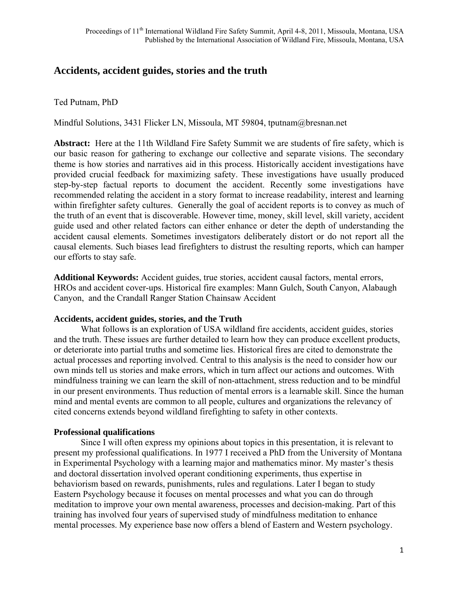# **Accidents, accident guides, stories and the truth**

Ted Putnam, PhD

Mindful Solutions, 3431 Flicker LN, Missoula, MT 59804, tputnam@bresnan.net

**Abstract:** Here at the 11th Wildland Fire Safety Summit we are students of fire safety, which is our basic reason for gathering to exchange our collective and separate visions. The secondary theme is how stories and narratives aid in this process. Historically accident investigations have provided crucial feedback for maximizing safety. These investigations have usually produced step-by-step factual reports to document the accident. Recently some investigations have recommended relating the accident in a story format to increase readability, interest and learning within firefighter safety cultures. Generally the goal of accident reports is to convey as much of the truth of an event that is discoverable. However time, money, skill level, skill variety, accident guide used and other related factors can either enhance or deter the depth of understanding the accident causal elements. Sometimes investigators deliberately distort or do not report all the causal elements. Such biases lead firefighters to distrust the resulting reports, which can hamper our efforts to stay safe.

**Additional Keywords:** Accident guides, true stories, accident causal factors, mental errors, HROs and accident cover-ups. Historical fire examples: Mann Gulch, South Canyon, Alabaugh Canyon, and the Crandall Ranger Station Chainsaw Accident

#### **Accidents, accident guides, stories, and the Truth**

 What follows is an exploration of USA wildland fire accidents, accident guides, stories and the truth. These issues are further detailed to learn how they can produce excellent products, or deteriorate into partial truths and sometime lies. Historical fires are cited to demonstrate the actual processes and reporting involved. Central to this analysis is the need to consider how our own minds tell us stories and make errors, which in turn affect our actions and outcomes. With mindfulness training we can learn the skill of non-attachment, stress reduction and to be mindful in our present environments. Thus reduction of mental errors is a learnable skill. Since the human mind and mental events are common to all people, cultures and organizations the relevancy of cited concerns extends beyond wildland firefighting to safety in other contexts.

#### **Professional qualifications**

Since I will often express my opinions about topics in this presentation, it is relevant to present my professional qualifications. In 1977 I received a PhD from the University of Montana in Experimental Psychology with a learning major and mathematics minor. My master's thesis and doctoral dissertation involved operant conditioning experiments, thus expertise in behaviorism based on rewards, punishments, rules and regulations. Later I began to study Eastern Psychology because it focuses on mental processes and what you can do through meditation to improve your own mental awareness, processes and decision-making. Part of this training has involved four years of supervised study of mindfulness meditation to enhance mental processes. My experience base now offers a blend of Eastern and Western psychology.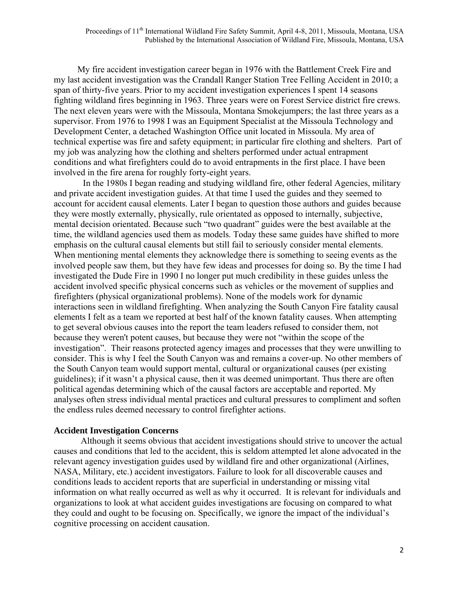My fire accident investigation career began in 1976 with the Battlement Creek Fire and my last accident investigation was the Crandall Ranger Station Tree Felling Accident in 2010; a span of thirty-five years. Prior to my accident investigation experiences I spent 14 seasons fighting wildland fires beginning in 1963. Three years were on Forest Service district fire crews. The next eleven years were with the Missoula, Montana Smokejumpers; the last three years as a supervisor. From 1976 to 1998 I was an Equipment Specialist at the Missoula Technology and Development Center, a detached Washington Office unit located in Missoula. My area of technical expertise was fire and safety equipment; in particular fire clothing and shelters. Part of my job was analyzing how the clothing and shelters performed under actual entrapment conditions and what firefighters could do to avoid entrapments in the first place. I have been involved in the fire arena for roughly forty-eight years.

 In the 1980s I began reading and studying wildland fire, other federal Agencies, military and private accident investigation guides. At that time I used the guides and they seemed to account for accident causal elements. Later I began to question those authors and guides because they were mostly externally, physically, rule orientated as opposed to internally, subjective, mental decision orientated. Because such "two quadrant" guides were the best available at the time, the wildland agencies used them as models. Today these same guides have shifted to more emphasis on the cultural causal elements but still fail to seriously consider mental elements. When mentioning mental elements they acknowledge there is something to seeing events as the involved people saw them, but they have few ideas and processes for doing so. By the time I had investigated the Dude Fire in 1990 I no longer put much credibility in these guides unless the accident involved specific physical concerns such as vehicles or the movement of supplies and firefighters (physical organizational problems). None of the models work for dynamic interactions seen in wildland firefighting. When analyzing the South Canyon Fire fatality causal elements I felt as a team we reported at best half of the known fatality causes. When attempting to get several obvious causes into the report the team leaders refused to consider them, not because they weren't potent causes, but because they were not "within the scope of the investigation". Their reasons protected agency images and processes that they were unwilling to consider. This is why I feel the South Canyon was and remains a cover-up. No other members of the South Canyon team would support mental, cultural or organizational causes (per existing guidelines); if it wasn't a physical cause, then it was deemed unimportant. Thus there are often political agendas determining which of the causal factors are acceptable and reported. My analyses often stress individual mental practices and cultural pressures to compliment and soften the endless rules deemed necessary to control firefighter actions.

#### **Accident Investigation Concerns**

Although it seems obvious that accident investigations should strive to uncover the actual causes and conditions that led to the accident, this is seldom attempted let alone advocated in the relevant agency investigation guides used by wildland fire and other organizational (Airlines, NASA, Military, etc.) accident investigators. Failure to look for all discoverable causes and conditions leads to accident reports that are superficial in understanding or missing vital information on what really occurred as well as why it occurred. It is relevant for individuals and organizations to look at what accident guides investigations are focusing on compared to what they could and ought to be focusing on. Specifically, we ignore the impact of the individual's cognitive processing on accident causation.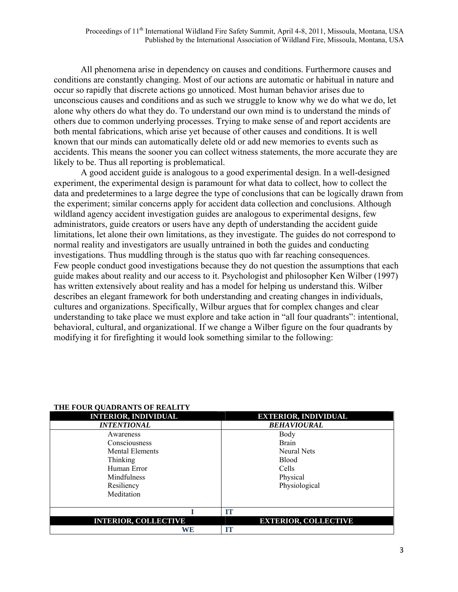All phenomena arise in dependency on causes and conditions. Furthermore causes and conditions are constantly changing. Most of our actions are automatic or habitual in nature and occur so rapidly that discrete actions go unnoticed. Most human behavior arises due to unconscious causes and conditions and as such we struggle to know why we do what we do, let alone why others do what they do. To understand our own mind is to understand the minds of others due to common underlying processes. Trying to make sense of and report accidents are both mental fabrications, which arise yet because of other causes and conditions. It is well known that our minds can automatically delete old or add new memories to events such as accidents. This means the sooner you can collect witness statements, the more accurate they are likely to be. Thus all reporting is problematical.

 A good accident guide is analogous to a good experimental design. In a well-designed experiment, the experimental design is paramount for what data to collect, how to collect the data and predetermines to a large degree the type of conclusions that can be logically drawn from the experiment; similar concerns apply for accident data collection and conclusions. Although wildland agency accident investigation guides are analogous to experimental designs, few administrators, guide creators or users have any depth of understanding the accident guide limitations, let alone their own limitations, as they investigate. The guides do not correspond to normal reality and investigators are usually untrained in both the guides and conducting investigations. Thus muddling through is the status quo with far reaching consequences. Few people conduct good investigations because they do not question the assumptions that each guide makes about reality and our access to it. Psychologist and philosopher Ken Wilber (1997) has written extensively about reality and has a model for helping us understand this. Wilber describes an elegant framework for both understanding and creating changes in individuals, cultures and organizations. Specifically, Wilbur argues that for complex changes and clear understanding to take place we must explore and take action in "all four quadrants": intentional, behavioral, cultural, and organizational. If we change a Wilber figure on the four quadrants by modifying it for firefighting it would look something similar to the following:

| <b>INTERIOR, INDIVIDUAL</b> | <b>EXTERIOR, INDIVIDUAL</b> |
|-----------------------------|-----------------------------|
| <b>INTENTIONAL</b>          | <b>BEHAVIOURAL</b>          |
| Awareness                   | Body                        |
| Consciousness               | <b>Brain</b>                |
| Mental Elements             | <b>Neural Nets</b>          |
| Thinking                    | <b>Blood</b>                |
| Human Error                 | Cells                       |
| <b>Mindfulness</b>          | Physical                    |
| Resiliency                  | Physiological               |
| Meditation                  |                             |
|                             | тт                          |
| <b>INTERIOR, COLLECTIVE</b> | <b>EXTERIOR, COLLECTIVE</b> |
| <b>WE</b>                   | m                           |

#### **THE FOUR QUADRANTS OF REALITY**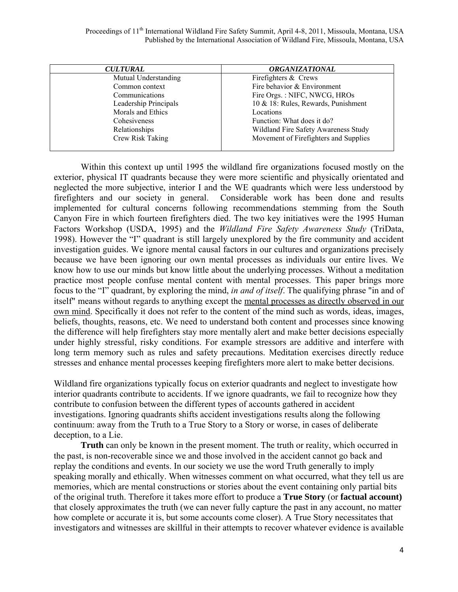| <b>CULTURAL</b>       | <b>ORGANIZATIONAL</b>                 |  |
|-----------------------|---------------------------------------|--|
| Mutual Understanding  | Firefighters & Crews                  |  |
| Common context        | Fire behavior & Environment           |  |
| Communications        | Fire Orgs.: NIFC, NWCG, HROs          |  |
| Leadership Principals | 10 & 18: Rules, Rewards, Punishment   |  |
| Morals and Ethics     | Locations                             |  |
| Cohesiveness          | Function: What does it do?            |  |
| Relationships         | Wildland Fire Safety Awareness Study  |  |
| Crew Risk Taking      | Movement of Firefighters and Supplies |  |

 Within this context up until 1995 the wildland fire organizations focused mostly on the exterior, physical IT quadrants because they were more scientific and physically orientated and neglected the more subjective, interior I and the WE quadrants which were less understood by firefighters and our society in general. Considerable work has been done and results implemented for cultural concerns following recommendations stemming from the South Canyon Fire in which fourteen firefighters died. The two key initiatives were the 1995 Human Factors Workshop (USDA, 1995) and the *Wildland Fire Safety Awareness Study* (TriData, 1998). However the "I" quadrant is still largely unexplored by the fire community and accident investigation guides. We ignore mental causal factors in our cultures and organizations precisely because we have been ignoring our own mental processes as individuals our entire lives. We know how to use our minds but know little about the underlying processes. Without a meditation practice most people confuse mental content with mental processes. This paper brings more focus to the "I" quadrant, by exploring the mind, *in and of itself*. The qualifying phrase "in and of itself" means without regards to anything except the mental processes as directly observed in our own mind. Specifically it does not refer to the content of the mind such as words, ideas, images, beliefs, thoughts, reasons, etc. We need to understand both content and processes since knowing the difference will help firefighters stay more mentally alert and make better decisions especially under highly stressful, risky conditions. For example stressors are additive and interfere with long term memory such as rules and safety precautions. Meditation exercises directly reduce stresses and enhance mental processes keeping firefighters more alert to make better decisions.

Wildland fire organizations typically focus on exterior quadrants and neglect to investigate how interior quadrants contribute to accidents. If we ignore quadrants, we fail to recognize how they contribute to confusion between the different types of accounts gathered in accident investigations. Ignoring quadrants shifts accident investigations results along the following continuum: away from the Truth to a True Story to a Story or worse, in cases of deliberate deception, to a Lie.

**Truth** can only be known in the present moment. The truth or reality, which occurred in the past, is non-recoverable since we and those involved in the accident cannot go back and replay the conditions and events. In our society we use the word Truth generally to imply speaking morally and ethically. When witnesses comment on what occurred, what they tell us are memories, which are mental constructions or stories about the event containing only partial bits of the original truth. Therefore it takes more effort to produce a **True Story** (or **factual account)** that closely approximates the truth (we can never fully capture the past in any account, no matter how complete or accurate it is, but some accounts come closer). A True Story necessitates that investigators and witnesses are skillful in their attempts to recover whatever evidence is available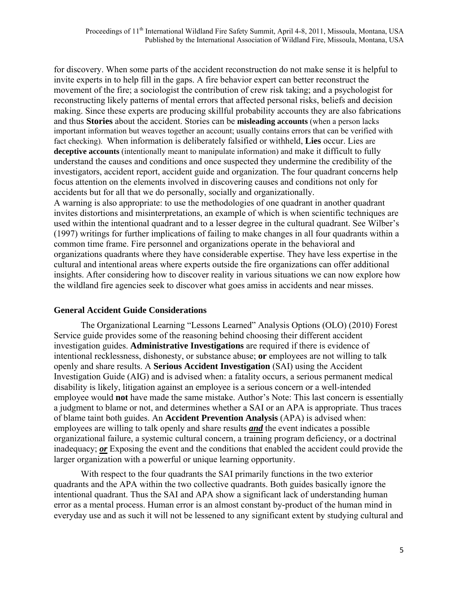for discovery. When some parts of the accident reconstruction do not make sense it is helpful to invite experts in to help fill in the gaps. A fire behavior expert can better reconstruct the movement of the fire; a sociologist the contribution of crew risk taking; and a psychologist for reconstructing likely patterns of mental errors that affected personal risks, beliefs and decision making. Since these experts are producing skillful probability accounts they are also fabrications and thus **Stories** about the accident. Stories can be **misleading accounts** (when a person lacks important information but weaves together an account; usually contains errors that can be verified with fact checking). When information is deliberately falsified or withheld, **Lies** occur. Lies are **deceptive accounts** (intentionally meant to manipulate information) and make it difficult to fully understand the causes and conditions and once suspected they undermine the credibility of the investigators, accident report, accident guide and organization. The four quadrant concerns help focus attention on the elements involved in discovering causes and conditions not only for accidents but for all that we do personally, socially and organizationally.

A warning is also appropriate: to use the methodologies of one quadrant in another quadrant invites distortions and misinterpretations, an example of which is when scientific techniques are used within the intentional quadrant and to a lesser degree in the cultural quadrant. See Wilber's (1997) writings for further implications of failing to make changes in all four quadrants within a common time frame. Fire personnel and organizations operate in the behavioral and organizations quadrants where they have considerable expertise. They have less expertise in the cultural and intentional areas where experts outside the fire organizations can offer additional insights. After considering how to discover reality in various situations we can now explore how the wildland fire agencies seek to discover what goes amiss in accidents and near misses.

#### **General Accident Guide Considerations**

 The Organizational Learning "Lessons Learned" Analysis Options (OLO) (2010) Forest Service guide provides some of the reasoning behind choosing their different accident investigation guides. **Administrative Investigations** are required if there is evidence of intentional recklessness, dishonesty, or substance abuse; **or** employees are not willing to talk openly and share results. A **Serious Accident Investigation** (SAI) using the Accident Investigation Guide (AIG) and is advised when: a fatality occurs, a serious permanent medical disability is likely, litigation against an employee is a serious concern or a well-intended employee would **not** have made the same mistake. Author's Note: This last concern is essentially a judgment to blame or not, and determines whether a SAI or an APA is appropriate. Thus traces of blame taint both guides. An **Accident Prevention Analysis** (APA) is advised when: employees are willing to talk openly and share results *and* the event indicates a possible organizational failure, a systemic cultural concern, a training program deficiency, or a doctrinal inadequacy; *or* Exposing the event and the conditions that enabled the accident could provide the larger organization with a powerful or unique learning opportunity.

 With respect to the four quadrants the SAI primarily functions in the two exterior quadrants and the APA within the two collective quadrants. Both guides basically ignore the intentional quadrant. Thus the SAI and APA show a significant lack of understanding human error as a mental process. Human error is an almost constant by-product of the human mind in everyday use and as such it will not be lessened to any significant extent by studying cultural and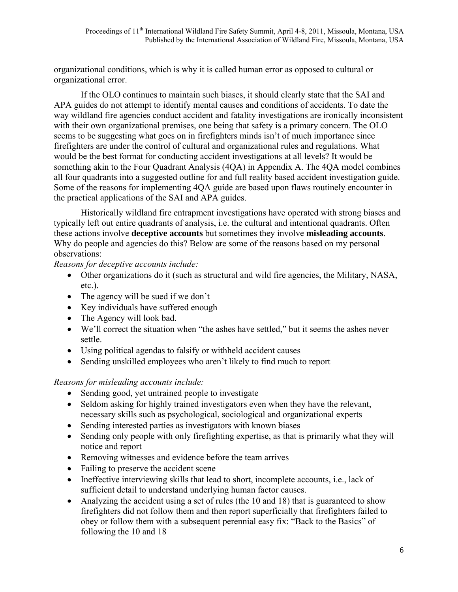organizational conditions, which is why it is called human error as opposed to cultural or organizational error.

If the OLO continues to maintain such biases, it should clearly state that the SAI and APA guides do not attempt to identify mental causes and conditions of accidents. To date the way wildland fire agencies conduct accident and fatality investigations are ironically inconsistent with their own organizational premises, one being that safety is a primary concern. The OLO seems to be suggesting what goes on in firefighters minds isn't of much importance since firefighters are under the control of cultural and organizational rules and regulations. What would be the best format for conducting accident investigations at all levels? It would be something akin to the Four Quadrant Analysis (4QA) in Appendix A. The 4QA model combines all four quadrants into a suggested outline for and full reality based accident investigation guide. Some of the reasons for implementing 4QA guide are based upon flaws routinely encounter in the practical applications of the SAI and APA guides.

Historically wildland fire entrapment investigations have operated with strong biases and typically left out entire quadrants of analysis, i.e. the cultural and intentional quadrants. Often these actions involve **deceptive accounts** but sometimes they involve **misleading accounts**. Why do people and agencies do this? Below are some of the reasons based on my personal observations:

# *Reasons for deceptive accounts include:*

- Other organizations do it (such as structural and wild fire agencies, the Military, NASA, etc.).
- The agency will be sued if we don't
- Key individuals have suffered enough
- The Agency will look bad.
- We'll correct the situation when "the ashes have settled," but it seems the ashes never settle.
- Using political agendas to falsify or withheld accident causes
- Sending unskilled employees who aren't likely to find much to report

# *Reasons for misleading accounts include:*

- Sending good, yet untrained people to investigate
- Seldom asking for highly trained investigators even when they have the relevant, necessary skills such as psychological, sociological and organizational experts
- Sending interested parties as investigators with known biases
- Sending only people with only firefighting expertise, as that is primarily what they will notice and report
- Removing witnesses and evidence before the team arrives
- Failing to preserve the accident scene
- Ineffective interviewing skills that lead to short, incomplete accounts, i.e., lack of sufficient detail to understand underlying human factor causes.
- Analyzing the accident using a set of rules (the 10 and 18) that is guaranteed to show firefighters did not follow them and then report superficially that firefighters failed to obey or follow them with a subsequent perennial easy fix: "Back to the Basics" of following the 10 and 18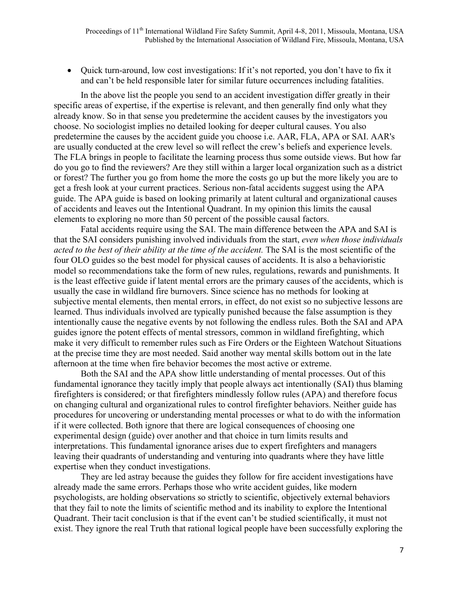• Ouick turn-around, low cost investigations: If it's not reported, you don't have to fix it and can't be held responsible later for similar future occurrences including fatalities.

 In the above list the people you send to an accident investigation differ greatly in their specific areas of expertise, if the expertise is relevant, and then generally find only what they already know. So in that sense you predetermine the accident causes by the investigators you choose. No sociologist implies no detailed looking for deeper cultural causes. You also predetermine the causes by the accident guide you choose i.e. AAR, FLA, APA or SAI. AAR's are usually conducted at the crew level so will reflect the crew's beliefs and experience levels. The FLA brings in people to facilitate the learning process thus some outside views. But how far do you go to find the reviewers? Are they still within a larger local organization such as a district or forest? The further you go from home the more the costs go up but the more likely you are to get a fresh look at your current practices. Serious non-fatal accidents suggest using the APA guide. The APA guide is based on looking primarily at latent cultural and organizational causes of accidents and leaves out the Intentional Quadrant. In my opinion this limits the causal elements to exploring no more than 50 percent of the possible causal factors.

 Fatal accidents require using the SAI. The main difference between the APA and SAI is that the SAI considers punishing involved individuals from the start, *even when those individuals acted to the best of their ability at the time of the accident.* The SAI is the most scientific of the four OLO guides so the best model for physical causes of accidents. It is also a behavioristic model so recommendations take the form of new rules, regulations, rewards and punishments. It is the least effective guide if latent mental errors are the primary causes of the accidents, which is usually the case in wildland fire burnovers. Since science has no methods for looking at subjective mental elements, then mental errors, in effect, do not exist so no subjective lessons are learned. Thus individuals involved are typically punished because the false assumption is they intentionally cause the negative events by not following the endless rules. Both the SAI and APA guides ignore the potent effects of mental stressors, common in wildland firefighting, which make it very difficult to remember rules such as Fire Orders or the Eighteen Watchout Situations at the precise time they are most needed. Said another way mental skills bottom out in the late afternoon at the time when fire behavior becomes the most active or extreme.

 Both the SAI and the APA show little understanding of mental processes. Out of this fundamental ignorance they tacitly imply that people always act intentionally (SAI) thus blaming firefighters is considered; or that firefighters mindlessly follow rules (APA) and therefore focus on changing cultural and organizational rules to control firefighter behaviors. Neither guide has procedures for uncovering or understanding mental processes or what to do with the information if it were collected. Both ignore that there are logical consequences of choosing one experimental design (guide) over another and that choice in turn limits results and interpretations. This fundamental ignorance arises due to expert firefighters and managers leaving their quadrants of understanding and venturing into quadrants where they have little expertise when they conduct investigations.

 They are led astray because the guides they follow for fire accident investigations have already made the same errors. Perhaps those who write accident guides, like modern psychologists, are holding observations so strictly to scientific, objectively external behaviors that they fail to note the limits of scientific method and its inability to explore the Intentional Quadrant. Their tacit conclusion is that if the event can't be studied scientifically, it must not exist. They ignore the real Truth that rational logical people have been successfully exploring the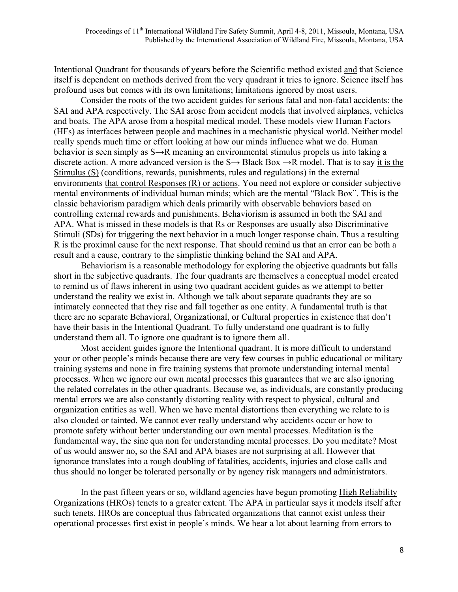Intentional Quadrant for thousands of years before the Scientific method existed and that Science itself is dependent on methods derived from the very quadrant it tries to ignore. Science itself has profound uses but comes with its own limitations; limitations ignored by most users.

 Consider the roots of the two accident guides for serious fatal and non-fatal accidents: the SAI and APA respectively. The SAI arose from accident models that involved airplanes, vehicles and boats. The APA arose from a hospital medical model. These models view Human Factors (HFs) as interfaces between people and machines in a mechanistic physical world. Neither model really spends much time or effort looking at how our minds influence what we do. Human behavior is seen simply as S→R meaning an environmental stimulus propels us into taking a discrete action. A more advanced version is the  $S \rightarrow$  Black Box  $\rightarrow$ R model. That is to say it is the Stimulus (S) (conditions, rewards, punishments, rules and regulations) in the external environments that control Responses (R) or actions. You need not explore or consider subjective mental environments of individual human minds; which are the mental "Black Box". This is the classic behaviorism paradigm which deals primarily with observable behaviors based on controlling external rewards and punishments. Behaviorism is assumed in both the SAI and APA. What is missed in these models is that Rs or Responses are usually also Discriminative Stimuli (SDs) for triggering the next behavior in a much longer response chain. Thus a resulting R is the proximal cause for the next response. That should remind us that an error can be both a result and a cause, contrary to the simplistic thinking behind the SAI and APA.

 Behaviorism is a reasonable methodology for exploring the objective quadrants but falls short in the subjective quadrants. The four quadrants are themselves a conceptual model created to remind us of flaws inherent in using two quadrant accident guides as we attempt to better understand the reality we exist in. Although we talk about separate quadrants they are so intimately connected that they rise and fall together as one entity. A fundamental truth is that there are no separate Behavioral, Organizational, or Cultural properties in existence that don't have their basis in the Intentional Quadrant. To fully understand one quadrant is to fully understand them all. To ignore one quadrant is to ignore them all.

 Most accident guides ignore the Intentional quadrant. It is more difficult to understand your or other people's minds because there are very few courses in public educational or military training systems and none in fire training systems that promote understanding internal mental processes. When we ignore our own mental processes this guarantees that we are also ignoring the related correlates in the other quadrants. Because we, as individuals, are constantly producing mental errors we are also constantly distorting reality with respect to physical, cultural and organization entities as well. When we have mental distortions then everything we relate to is also clouded or tainted. We cannot ever really understand why accidents occur or how to promote safety without better understanding our own mental processes. Meditation is the fundamental way, the sine qua non for understanding mental processes. Do you meditate? Most of us would answer no, so the SAI and APA biases are not surprising at all. However that ignorance translates into a rough doubling of fatalities, accidents, injuries and close calls and thus should no longer be tolerated personally or by agency risk managers and administrators.

 In the past fifteen years or so, wildland agencies have begun promoting High Reliability Organizations (HROs) tenets to a greater extent. The APA in particular says it models itself after such tenets. HROs are conceptual thus fabricated organizations that cannot exist unless their operational processes first exist in people's minds. We hear a lot about learning from errors to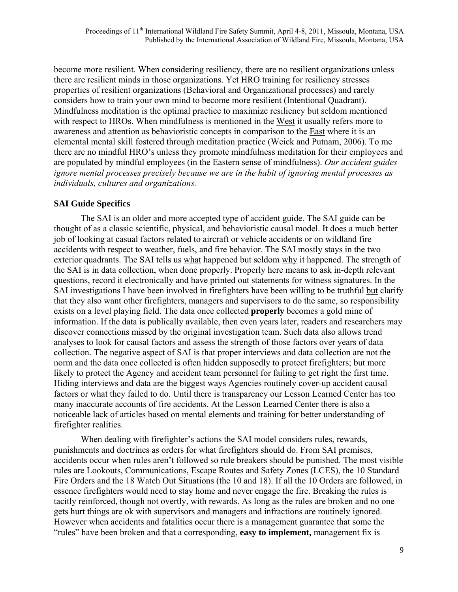become more resilient. When considering resiliency, there are no resilient organizations unless there are resilient minds in those organizations. Yet HRO training for resiliency stresses properties of resilient organizations (Behavioral and Organizational processes) and rarely considers how to train your own mind to become more resilient (Intentional Quadrant). Mindfulness meditation is the optimal practice to maximize resiliency but seldom mentioned with respect to HROs. When mindfulness is mentioned in the West it usually refers more to awareness and attention as behavioristic concepts in comparison to the East where it is an elemental mental skill fostered through meditation practice (Weick and Putnam, 2006). To me there are no mindful HRO's unless they promote mindfulness meditation for their employees and are populated by mindful employees (in the Eastern sense of mindfulness). *Our accident guides ignore mental processes precisely because we are in the habit of ignoring mental processes as individuals, cultures and organizations.* 

# **SAI Guide Specifics**

 The SAI is an older and more accepted type of accident guide. The SAI guide can be thought of as a classic scientific, physical, and behavioristic causal model. It does a much better job of looking at casual factors related to aircraft or vehicle accidents or on wildland fire accidents with respect to weather, fuels, and fire behavior. The SAI mostly stays in the two exterior quadrants. The SAI tells us what happened but seldom why it happened. The strength of the SAI is in data collection, when done properly. Properly here means to ask in-depth relevant questions, record it electronically and have printed out statements for witness signatures. In the SAI investigations I have been involved in firefighters have been willing to be truthful but clarify that they also want other firefighters, managers and supervisors to do the same, so responsibility exists on a level playing field. The data once collected **properly** becomes a gold mine of information. If the data is publically available, then even years later, readers and researchers may discover connections missed by the original investigation team. Such data also allows trend analyses to look for causal factors and assess the strength of those factors over years of data collection. The negative aspect of SAI is that proper interviews and data collection are not the norm and the data once collected is often hidden supposedly to protect firefighters; but more likely to protect the Agency and accident team personnel for failing to get right the first time. Hiding interviews and data are the biggest ways Agencies routinely cover-up accident causal factors or what they failed to do. Until there is transparency our Lesson Learned Center has too many inaccurate accounts of fire accidents. At the Lesson Learned Center there is also a noticeable lack of articles based on mental elements and training for better understanding of firefighter realities.

 When dealing with firefighter's actions the SAI model considers rules, rewards, punishments and doctrines as orders for what firefighters should do. From SAI premises, accidents occur when rules aren't followed so rule breakers should be punished. The most visible rules are Lookouts, Communications, Escape Routes and Safety Zones (LCES), the 10 Standard Fire Orders and the 18 Watch Out Situations (the 10 and 18). If all the 10 Orders are followed, in essence firefighters would need to stay home and never engage the fire. Breaking the rules is tacitly reinforced, though not overtly, with rewards. As long as the rules are broken and no one gets hurt things are ok with supervisors and managers and infractions are routinely ignored. However when accidents and fatalities occur there is a management guarantee that some the "rules" have been broken and that a corresponding, **easy to implement,** management fix is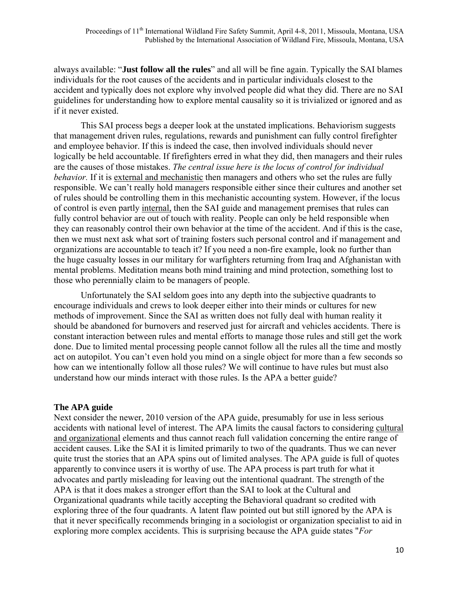always available: "**Just follow all the rules**" and all will be fine again. Typically the SAI blames individuals for the root causes of the accidents and in particular individuals closest to the accident and typically does not explore why involved people did what they did. There are no SAI guidelines for understanding how to explore mental causality so it is trivialized or ignored and as if it never existed.

 This SAI process begs a deeper look at the unstated implications. Behaviorism suggests that management driven rules, regulations, rewards and punishment can fully control firefighter and employee behavior. If this is indeed the case, then involved individuals should never logically be held accountable. If firefighters erred in what they did, then managers and their rules are the causes of those mistakes. *The central issue here is the locus of control for individual behavior.* If it is external and mechanistic then managers and others who set the rules are fully responsible. We can't really hold managers responsible either since their cultures and another set of rules should be controlling them in this mechanistic accounting system. However, if the locus of control is even partly internal, then the SAI guide and management premises that rules can fully control behavior are out of touch with reality. People can only be held responsible when they can reasonably control their own behavior at the time of the accident. And if this is the case, then we must next ask what sort of training fosters such personal control and if management and organizations are accountable to teach it? If you need a non-fire example, look no further than the huge casualty losses in our military for warfighters returning from Iraq and Afghanistan with mental problems. Meditation means both mind training and mind protection, something lost to those who perennially claim to be managers of people.

 Unfortunately the SAI seldom goes into any depth into the subjective quadrants to encourage individuals and crews to look deeper either into their minds or cultures for new methods of improvement. Since the SAI as written does not fully deal with human reality it should be abandoned for burnovers and reserved just for aircraft and vehicles accidents. There is constant interaction between rules and mental efforts to manage those rules and still get the work done. Due to limited mental processing people cannot follow all the rules all the time and mostly act on autopilot. You can't even hold you mind on a single object for more than a few seconds so how can we intentionally follow all those rules? We will continue to have rules but must also understand how our minds interact with those rules. Is the APA a better guide?

#### **The APA guide**

Next consider the newer, 2010 version of the APA guide, presumably for use in less serious accidents with national level of interest. The APA limits the causal factors to considering cultural and organizational elements and thus cannot reach full validation concerning the entire range of accident causes. Like the SAI it is limited primarily to two of the quadrants. Thus we can never quite trust the stories that an APA spins out of limited analyses. The APA guide is full of quotes apparently to convince users it is worthy of use. The APA process is part truth for what it advocates and partly misleading for leaving out the intentional quadrant. The strength of the APA is that it does makes a stronger effort than the SAI to look at the Cultural and Organizational quadrants while tacitly accepting the Behavioral quadrant so credited with exploring three of the four quadrants. A latent flaw pointed out but still ignored by the APA is that it never specifically recommends bringing in a sociologist or organization specialist to aid in exploring more complex accidents. This is surprising because the APA guide states "*For*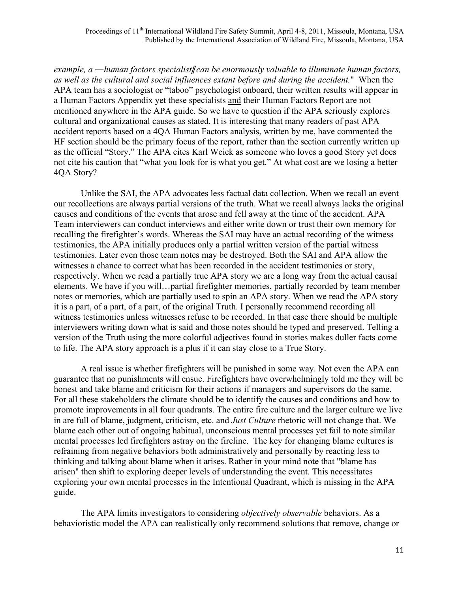*example, a ―human factors specialist*ǁ *can be enormously valuable to illuminate human factors, as well as the cultural and social influences extant before and during the accident.*" When the APA team has a sociologist or "taboo" psychologist onboard, their written results will appear in a Human Factors Appendix yet these specialists and their Human Factors Report are not mentioned anywhere in the APA guide. So we have to question if the APA seriously explores cultural and organizational causes as stated. It is interesting that many readers of past APA accident reports based on a 4QA Human Factors analysis, written by me, have commented the HF section should be the primary focus of the report, rather than the section currently written up as the official "Story." The APA cites Karl Weick as someone who loves a good Story yet does not cite his caution that "what you look for is what you get." At what cost are we losing a better 4QA Story?

 Unlike the SAI, the APA advocates less factual data collection. When we recall an event our recollections are always partial versions of the truth. What we recall always lacks the original causes and conditions of the events that arose and fell away at the time of the accident. APA Team interviewers can conduct interviews and either write down or trust their own memory for recalling the firefighter's words. Whereas the SAI may have an actual recording of the witness testimonies, the APA initially produces only a partial written version of the partial witness testimonies. Later even those team notes may be destroyed. Both the SAI and APA allow the witnesses a chance to correct what has been recorded in the accident testimonies or story, respectively. When we read a partially true APA story we are a long way from the actual causal elements. We have if you will…partial firefighter memories, partially recorded by team member notes or memories, which are partially used to spin an APA story. When we read the APA story it is a part, of a part, of a part, of the original Truth. I personally recommend recording all witness testimonies unless witnesses refuse to be recorded. In that case there should be multiple interviewers writing down what is said and those notes should be typed and preserved. Telling a version of the Truth using the more colorful adjectives found in stories makes duller facts come to life. The APA story approach is a plus if it can stay close to a True Story.

 A real issue is whether firefighters will be punished in some way. Not even the APA can guarantee that no punishments will ensue. Firefighters have overwhelmingly told me they will be honest and take blame and criticism for their actions if managers and supervisors do the same. For all these stakeholders the climate should be to identify the causes and conditions and how to promote improvements in all four quadrants. The entire fire culture and the larger culture we live in are full of blame, judgment, criticism, etc. and *Just Culture* rhetoric will not change that. We blame each other out of ongoing habitual, unconscious mental processes yet fail to note similar mental processes led firefighters astray on the fireline. The key for changing blame cultures is refraining from negative behaviors both administratively and personally by reacting less to thinking and talking about blame when it arises. Rather in your mind note that "blame has arisen" then shift to exploring deeper levels of understanding the event. This necessitates exploring your own mental processes in the Intentional Quadrant, which is missing in the APA guide.

 The APA limits investigators to considering *objectively observable* behaviors. As a behavioristic model the APA can realistically only recommend solutions that remove, change or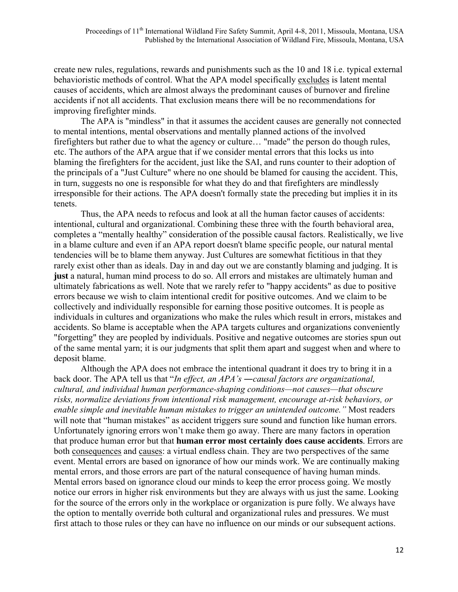create new rules, regulations, rewards and punishments such as the 10 and 18 i.e. typical external behavioristic methods of control. What the APA model specifically excludes is latent mental causes of accidents, which are almost always the predominant causes of burnover and fireline accidents if not all accidents. That exclusion means there will be no recommendations for improving firefighter minds.

 The APA is "mindless" in that it assumes the accident causes are generally not connected to mental intentions, mental observations and mentally planned actions of the involved firefighters but rather due to what the agency or culture… "made" the person do though rules, etc. The authors of the APA argue that if we consider mental errors that this locks us into blaming the firefighters for the accident, just like the SAI, and runs counter to their adoption of the principals of a "Just Culture" where no one should be blamed for causing the accident. This, in turn, suggests no one is responsible for what they do and that firefighters are mindlessly irresponsible for their actions. The APA doesn't formally state the preceding but implies it in its tenets.

 Thus, the APA needs to refocus and look at all the human factor causes of accidents: intentional, cultural and organizational. Combining these three with the fourth behavioral area, completes a "mentally healthy" consideration of the possible causal factors. Realistically, we live in a blame culture and even if an APA report doesn't blame specific people, our natural mental tendencies will be to blame them anyway. Just Cultures are somewhat fictitious in that they rarely exist other than as ideals. Day in and day out we are constantly blaming and judging. It is **just** a natural, human mind process to do so. All errors and mistakes are ultimately human and ultimately fabrications as well. Note that we rarely refer to "happy accidents" as due to positive errors because we wish to claim intentional credit for positive outcomes. And we claim to be collectively and individually responsible for earning those positive outcomes. It is people as individuals in cultures and organizations who make the rules which result in errors, mistakes and accidents. So blame is acceptable when the APA targets cultures and organizations conveniently "forgetting" they are peopled by individuals. Positive and negative outcomes are stories spun out of the same mental yarn; it is our judgments that split them apart and suggest when and where to deposit blame.

 Although the APA does not embrace the intentional quadrant it does try to bring it in a back door. The APA tell us that "*In effect, an APA's ―causal factors are organizational, cultural, and individual human performance-shaping conditions—not causes—that obscure risks, normalize deviations from intentional risk management, encourage at-risk behaviors, or enable simple and inevitable human mistakes to trigger an unintended outcome."* Most readers will note that "human mistakes" as accident triggers sure sound and function like human errors. Unfortunately ignoring errors won't make them go away. There are many factors in operation that produce human error but that **human error most certainly does cause accidents**. Errors are both consequences and causes: a virtual endless chain. They are two perspectives of the same event. Mental errors are based on ignorance of how our minds work. We are continually making mental errors, and those errors are part of the natural consequence of having human minds. Mental errors based on ignorance cloud our minds to keep the error process going. We mostly notice our errors in higher risk environments but they are always with us just the same. Looking for the source of the errors only in the workplace or organization is pure folly. We always have the option to mentally override both cultural and organizational rules and pressures. We must first attach to those rules or they can have no influence on our minds or our subsequent actions.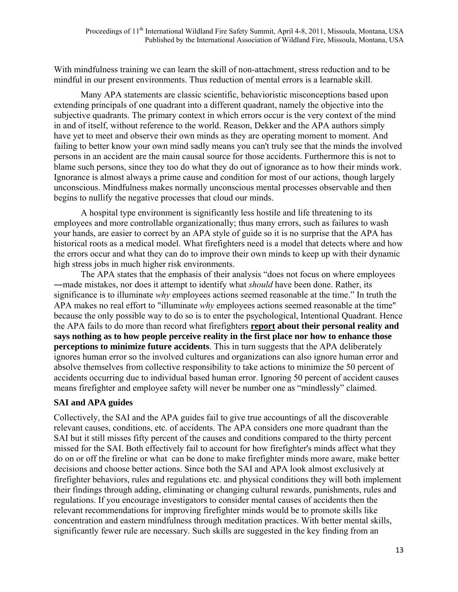With mindfulness training we can learn the skill of non-attachment, stress reduction and to be mindful in our present environments. Thus reduction of mental errors is a learnable skill.

 Many APA statements are classic scientific, behavioristic misconceptions based upon extending principals of one quadrant into a different quadrant, namely the objective into the subjective quadrants. The primary context in which errors occur is the very context of the mind in and of itself, without reference to the world. Reason, Dekker and the APA authors simply have yet to meet and observe their own minds as they are operating moment to moment. And failing to better know your own mind sadly means you can't truly see that the minds the involved persons in an accident are the main causal source for those accidents. Furthermore this is not to blame such persons, since they too do what they do out of ignorance as to how their minds work. Ignorance is almost always a prime cause and condition for most of our actions, though largely unconscious. Mindfulness makes normally unconscious mental processes observable and then begins to nullify the negative processes that cloud our minds.

 A hospital type environment is significantly less hostile and life threatening to its employees and more controllable organizationally; thus many errors, such as failures to wash your hands, are easier to correct by an APA style of guide so it is no surprise that the APA has historical roots as a medical model. What firefighters need is a model that detects where and how the errors occur and what they can do to improve their own minds to keep up with their dynamic high stress jobs in much higher risk environments.

 The APA states that the emphasis of their analysis "does not focus on where employees ―made mistakes, nor does it attempt to identify what *should* have been done. Rather, its significance is to illuminate *why* employees actions seemed reasonable at the time." In truth the APA makes no real effort to "illuminate *why* employees actions seemed reasonable at the time" because the only possible way to do so is to enter the psychological, Intentional Quadrant. Hence the APA fails to do more than record what firefighters **report about their personal reality and says nothing as to how people perceive reality in the first place nor how to enhance those perceptions to minimize future accidents**. This in turn suggests that the APA deliberately ignores human error so the involved cultures and organizations can also ignore human error and absolve themselves from collective responsibility to take actions to minimize the 50 percent of accidents occurring due to individual based human error. Ignoring 50 percent of accident causes means firefighter and employee safety will never be number one as "mindlessly" claimed.

### **SAI and APA guides**

Collectively, the SAI and the APA guides fail to give true accountings of all the discoverable relevant causes, conditions, etc. of accidents. The APA considers one more quadrant than the SAI but it still misses fifty percent of the causes and conditions compared to the thirty percent missed for the SAI. Both effectively fail to account for how firefighter's minds affect what they do on or off the fireline or what can be done to make firefighter minds more aware, make better decisions and choose better actions. Since both the SAI and APA look almost exclusively at firefighter behaviors, rules and regulations etc. and physical conditions they will both implement their findings through adding, eliminating or changing cultural rewards, punishments, rules and regulations. If you encourage investigators to consider mental causes of accidents then the relevant recommendations for improving firefighter minds would be to promote skills like concentration and eastern mindfulness through meditation practices. With better mental skills, significantly fewer rule are necessary. Such skills are suggested in the key finding from an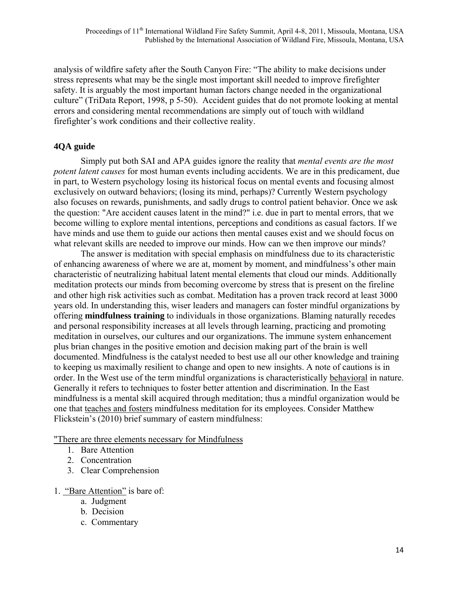analysis of wildfire safety after the South Canyon Fire: "The ability to make decisions under stress represents what may be the single most important skill needed to improve firefighter safety. It is arguably the most important human factors change needed in the organizational culture" (TriData Report, 1998, p 5-50). Accident guides that do not promote looking at mental errors and considering mental recommendations are simply out of touch with wildland firefighter's work conditions and their collective reality.

### **4QA guide**

 Simply put both SAI and APA guides ignore the reality that *mental events are the most potent latent causes* for most human events including accidents. We are in this predicament, due in part, to Western psychology losing its historical focus on mental events and focusing almost exclusively on outward behaviors; (losing its mind, perhaps)? Currently Western psychology also focuses on rewards, punishments, and sadly drugs to control patient behavior. Once we ask the question: "Are accident causes latent in the mind?" i.e. due in part to mental errors, that we become willing to explore mental intentions, perceptions and conditions as casual factors. If we have minds and use them to guide our actions then mental causes exist and we should focus on what relevant skills are needed to improve our minds. How can we then improve our minds?

 The answer is meditation with special emphasis on mindfulness due to its characteristic of enhancing awareness of where we are at, moment by moment, and mindfulness's other main characteristic of neutralizing habitual latent mental elements that cloud our minds. Additionally meditation protects our minds from becoming overcome by stress that is present on the fireline and other high risk activities such as combat. Meditation has a proven track record at least 3000 years old. In understanding this, wiser leaders and managers can foster mindful organizations by offering **mindfulness training** to individuals in those organizations. Blaming naturally recedes and personal responsibility increases at all levels through learning, practicing and promoting meditation in ourselves, our cultures and our organizations. The immune system enhancement plus brian changes in the positive emotion and decision making part of the brain is well documented. Mindfulness is the catalyst needed to best use all our other knowledge and training to keeping us maximally resilient to change and open to new insights. A note of cautions is in order. In the West use of the term mindful organizations is characteristically behavioral in nature. Generally it refers to techniques to foster better attention and discrimination. In the East mindfulness is a mental skill acquired through meditation; thus a mindful organization would be one that teaches and fosters mindfulness meditation for its employees. Consider Matthew Flickstein's (2010) brief summary of eastern mindfulness:

"There are three elements necessary for Mindfulness

- 1. Bare Attention
- 2. Concentration
- 3. Clear Comprehension
- 1. "Bare Attention" is bare of:
	- a. Judgment
	- b. Decision
	- c. Commentary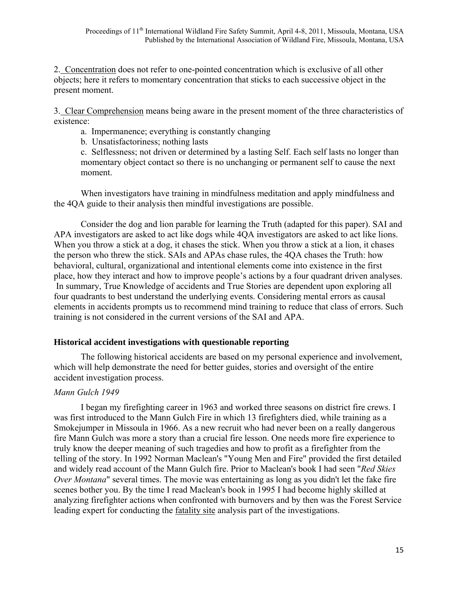2. Concentration does not refer to one-pointed concentration which is exclusive of all other objects; here it refers to momentary concentration that sticks to each successive object in the present moment.

3. Clear Comprehension means being aware in the present moment of the three characteristics of existence:

- a. Impermanence; everything is constantly changing
- b. Unsatisfactoriness; nothing lasts

 c. Selflessness; not driven or determined by a lasting Self. Each self lasts no longer than momentary object contact so there is no unchanging or permanent self to cause the next moment.

 When investigators have training in mindfulness meditation and apply mindfulness and the 4QA guide to their analysis then mindful investigations are possible.

 Consider the dog and lion parable for learning the Truth (adapted for this paper). SAI and APA investigators are asked to act like dogs while 4QA investigators are asked to act like lions. When you throw a stick at a dog, it chases the stick. When you throw a stick at a lion, it chases the person who threw the stick. SAIs and APAs chase rules, the 4QA chases the Truth: how behavioral, cultural, organizational and intentional elements come into existence in the first place, how they interact and how to improve people's actions by a four quadrant driven analyses. In summary, True Knowledge of accidents and True Stories are dependent upon exploring all four quadrants to best understand the underlying events. Considering mental errors as causal elements in accidents prompts us to recommend mind training to reduce that class of errors. Such training is not considered in the current versions of the SAI and APA.

### **Historical accident investigations with questionable reporting**

The following historical accidents are based on my personal experience and involvement, which will help demonstrate the need for better guides, stories and oversight of the entire accident investigation process.

### *Mann Gulch 1949*

 I began my firefighting career in 1963 and worked three seasons on district fire crews. I was first introduced to the Mann Gulch Fire in which 13 firefighters died, while training as a Smokejumper in Missoula in 1966. As a new recruit who had never been on a really dangerous fire Mann Gulch was more a story than a crucial fire lesson. One needs more fire experience to truly know the deeper meaning of such tragedies and how to profit as a firefighter from the telling of the story. In 1992 Norman Maclean's "Young Men and Fire" provided the first detailed and widely read account of the Mann Gulch fire. Prior to Maclean's book I had seen "*Red Skies Over Montana*" several times. The movie was entertaining as long as you didn't let the fake fire scenes bother you. By the time I read Maclean's book in 1995 I had become highly skilled at analyzing firefighter actions when confronted with burnovers and by then was the Forest Service leading expert for conducting the fatality site analysis part of the investigations.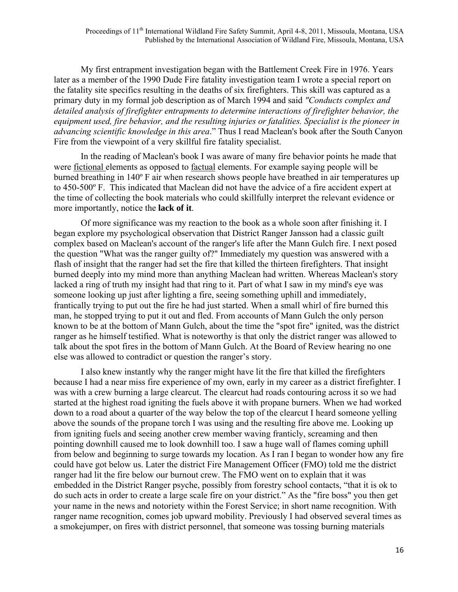My first entrapment investigation began with the Battlement Creek Fire in 1976. Years later as a member of the 1990 Dude Fire fatality investigation team I wrote a special report on the fatality site specifics resulting in the deaths of six firefighters. This skill was captured as a primary duty in my formal job description as of March 1994 and said *"Conducts complex and detailed analysis of firefighter entrapments to determine interactions of firefighter behavior, the equipment used, fire behavior, and the resulting injuries or fatalities. Specialist is the pioneer in advancing scientific knowledge in this area*." Thus I read Maclean's book after the South Canyon Fire from the viewpoint of a very skillful fire fatality specialist.

 In the reading of Maclean's book I was aware of many fire behavior points he made that were fictional elements as opposed to factual elements. For example saying people will be burned breathing in 140º F air when research shows people have breathed in air temperatures up to 450-500º F. This indicated that Maclean did not have the advice of a fire accident expert at the time of collecting the book materials who could skillfully interpret the relevant evidence or more importantly, notice the **lack of it**.

 Of more significance was my reaction to the book as a whole soon after finishing it. I began explore my psychological observation that District Ranger Jansson had a classic guilt complex based on Maclean's account of the ranger's life after the Mann Gulch fire. I next posed the question "What was the ranger guilty of?" Immediately my question was answered with a flash of insight that the ranger had set the fire that killed the thirteen firefighters. That insight burned deeply into my mind more than anything Maclean had written. Whereas Maclean's story lacked a ring of truth my insight had that ring to it. Part of what I saw in my mind's eye was someone looking up just after lighting a fire, seeing something uphill and immediately, frantically trying to put out the fire he had just started. When a small whirl of fire burned this man, he stopped trying to put it out and fled. From accounts of Mann Gulch the only person known to be at the bottom of Mann Gulch, about the time the "spot fire" ignited, was the district ranger as he himself testified. What is noteworthy is that only the district ranger was allowed to talk about the spot fires in the bottom of Mann Gulch. At the Board of Review hearing no one else was allowed to contradict or question the ranger's story.

 I also knew instantly why the ranger might have lit the fire that killed the firefighters because I had a near miss fire experience of my own, early in my career as a district firefighter. I was with a crew burning a large clearcut. The clearcut had roads contouring across it so we had started at the highest road igniting the fuels above it with propane burners. When we had worked down to a road about a quarter of the way below the top of the clearcut I heard someone yelling above the sounds of the propane torch I was using and the resulting fire above me. Looking up from igniting fuels and seeing another crew member waving franticly, screaming and then pointing downhill caused me to look downhill too. I saw a huge wall of flames coming uphill from below and beginning to surge towards my location. As I ran I began to wonder how any fire could have got below us. Later the district Fire Management Officer (FMO) told me the district ranger had lit the fire below our burnout crew. The FMO went on to explain that it was embedded in the District Ranger psyche, possibly from forestry school contacts, "that it is ok to do such acts in order to create a large scale fire on your district." As the "fire boss" you then get your name in the news and notoriety within the Forest Service; in short name recognition. With ranger name recognition, comes job upward mobility. Previously I had observed several times as a smokejumper, on fires with district personnel, that someone was tossing burning materials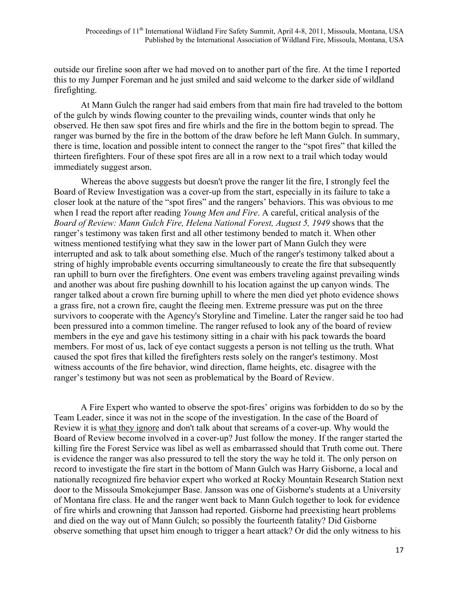outside our fireline soon after we had moved on to another part of the fire. At the time I reported this to my Jumper Foreman and he just smiled and said welcome to the darker side of wildland firefighting.

 At Mann Gulch the ranger had said embers from that main fire had traveled to the bottom of the gulch by winds flowing counter to the prevailing winds, counter winds that only he observed. He then saw spot fires and fire whirls and the fire in the bottom begin to spread. The ranger was burned by the fire in the bottom of the draw before he left Mann Gulch. In summary, there is time, location and possible intent to connect the ranger to the "spot fires" that killed the thirteen firefighters. Four of these spot fires are all in a row next to a trail which today would immediately suggest arson.

 Whereas the above suggests but doesn't prove the ranger lit the fire, I strongly feel the Board of Review Investigation was a cover-up from the start, especially in its failure to take a closer look at the nature of the "spot fires" and the rangers' behaviors. This was obvious to me when I read the report after reading *Young Men and Fire*. A careful, critical analysis of the *Board of Review: Mann Gulch Fire, Helena National Forest, August 5, 1949* shows that the ranger's testimony was taken first and all other testimony bended to match it. When other witness mentioned testifying what they saw in the lower part of Mann Gulch they were interrupted and ask to talk about something else. Much of the ranger's testimony talked about a string of highly improbable events occurring simultaneously to create the fire that subsequently ran uphill to burn over the firefighters. One event was embers traveling against prevailing winds and another was about fire pushing downhill to his location against the up canyon winds. The ranger talked about a crown fire burning uphill to where the men died yet photo evidence shows a grass fire, not a crown fire, caught the fleeing men. Extreme pressure was put on the three survivors to cooperate with the Agency's Storyline and Timeline. Later the ranger said he too had been pressured into a common timeline. The ranger refused to look any of the board of review members in the eye and gave his testimony sitting in a chair with his pack towards the board members. For most of us, lack of eye contact suggests a person is not telling us the truth. What caused the spot fires that killed the firefighters rests solely on the ranger's testimony. Most witness accounts of the fire behavior, wind direction, flame heights, etc. disagree with the ranger's testimony but was not seen as problematical by the Board of Review.

 A Fire Expert who wanted to observe the spot-fires' origins was forbidden to do so by the Team Leader, since it was not in the scope of the investigation. In the case of the Board of Review it is what they ignore and don't talk about that screams of a cover-up. Why would the Board of Review become involved in a cover-up? Just follow the money. If the ranger started the killing fire the Forest Service was libel as well as embarrassed should that Truth come out. There is evidence the ranger was also pressured to tell the story the way he told it. The only person on record to investigate the fire start in the bottom of Mann Gulch was Harry Gisborne, a local and nationally recognized fire behavior expert who worked at Rocky Mountain Research Station next door to the Missoula Smokejumper Base. Jansson was one of Gisborne's students at a University of Montana fire class. He and the ranger went back to Mann Gulch together to look for evidence of fire whirls and crowning that Jansson had reported. Gisborne had preexisting heart problems and died on the way out of Mann Gulch; so possibly the fourteenth fatality? Did Gisborne observe something that upset him enough to trigger a heart attack? Or did the only witness to his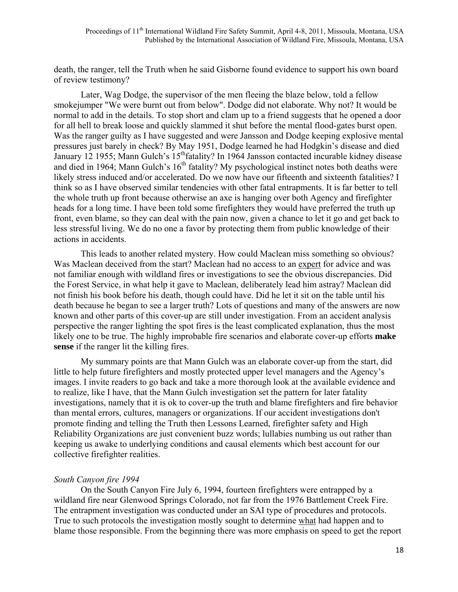death, the ranger, tell the Truth when he said Gisborne found evidence to support his own board of review testimony?

 Later, Wag Dodge, the supervisor of the men fleeing the blaze below, told a fellow smokejumper "We were burnt out from below". Dodge did not elaborate. Why not? It would be normal to add in the details. To stop short and clam up to a friend suggests that he opened a door for all hell to break loose and quickly slammed it shut before the mental flood-gates burst open. Was the ranger guilty as I have suggested and were Jansson and Dodge keeping explosive mental pressures just barely in check? By May 1951, Dodge learned he had Hodgkin's disease and died January 12 1955; Mann Gulch's 15<sup>th</sup>fatality? In 1964 Jansson contacted incurable kidney disease and died in 1964; Mann Gulch's  $16<sup>th</sup>$  fatality? My psychological instinct notes both deaths were likely stress induced and/or accelerated. Do we now have our fifteenth and sixteenth fatalities? I think so as I have observed similar tendencies with other fatal entrapments. It is far better to tell the whole truth up front because otherwise an axe is hanging over both Agency and firefighter heads for a long time. I have been told some firefighters they would have preferred the truth up front, even blame, so they can deal with the pain now, given a chance to let it go and get back to less stressful living. We do no one a favor by protecting them from public knowledge of their actions in accidents.

 This leads to another related mystery. How could Maclean miss something so obvious? Was Maclean deceived from the start? Maclean had no access to an expert for advice and was not familiar enough with wildland fires or investigations to see the obvious discrepancies. Did the Forest Service, in what help it gave to Maclean, deliberately lead him astray? Maclean did not finish his book before his death, though could have. Did he let it sit on the table until his death because he began to see a larger truth? Lots of questions and many of the answers are now known and other parts of this cover-up are still under investigation. From an accident analysis perspective the ranger lighting the spot fires is the least complicated explanation, thus the most likely one to be true. The highly improbable fire scenarios and elaborate cover-up efforts **make sense** if the ranger lit the killing fires.

 My summary points are that Mann Gulch was an elaborate cover-up from the start, did little to help future firefighters and mostly protected upper level managers and the Agency's images. I invite readers to go back and take a more thorough look at the available evidence and to realize, like I have, that the Mann Gulch investigation set the pattern for later fatality investigations, namely that it is ok to cover-up the truth and blame firefighters and fire behavior than mental errors, cultures, managers or organizations. If our accident investigations don't promote finding and telling the Truth then Lessons Learned, firefighter safety and High Reliability Organizations are just convenient buzz words; lullabies numbing us out rather than keeping us awake to underlying conditions and causal elements which best account for our collective firefighter realities.

#### *South Canyon fire 1994*

 On the South Canyon Fire July 6, 1994, fourteen firefighters were entrapped by a wildland fire near Glenwood Springs Colorado, not far from the 1976 Battlement Creek Fire. The entrapment investigation was conducted under an SAI type of procedures and protocols. True to such protocols the investigation mostly sought to determine what had happen and to blame those responsible. From the beginning there was more emphasis on speed to get the report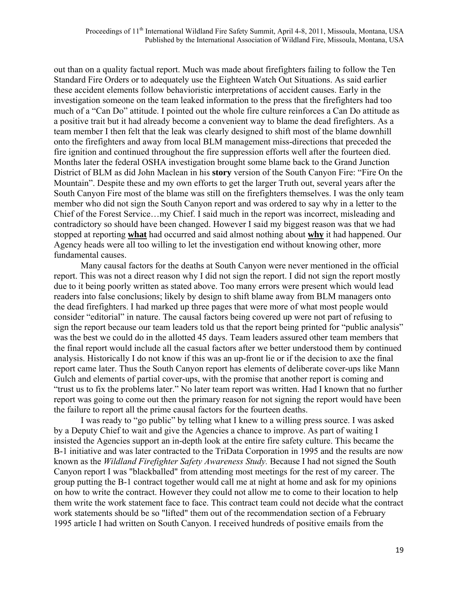out than on a quality factual report. Much was made about firefighters failing to follow the Ten Standard Fire Orders or to adequately use the Eighteen Watch Out Situations. As said earlier these accident elements follow behavioristic interpretations of accident causes. Early in the investigation someone on the team leaked information to the press that the firefighters had too much of a "Can Do" attitude. I pointed out the whole fire culture reinforces a Can Do attitude as a positive trait but it had already become a convenient way to blame the dead firefighters. As a team member I then felt that the leak was clearly designed to shift most of the blame downhill onto the firefighters and away from local BLM management miss-directions that preceded the fire ignition and continued throughout the fire suppression efforts well after the fourteen died. Months later the federal OSHA investigation brought some blame back to the Grand Junction District of BLM as did John Maclean in his **story** version of the South Canyon Fire: "Fire On the Mountain". Despite these and my own efforts to get the larger Truth out, several years after the South Canyon Fire most of the blame was still on the firefighters themselves. I was the only team member who did not sign the South Canyon report and was ordered to say why in a letter to the Chief of the Forest Service…my Chief. I said much in the report was incorrect, misleading and contradictory so should have been changed. However I said my biggest reason was that we had stopped at reporting **what** had occurred and said almost nothing about **why** it had happened. Our Agency heads were all too willing to let the investigation end without knowing other, more fundamental causes.

 Many causal factors for the deaths at South Canyon were never mentioned in the official report. This was not a direct reason why I did not sign the report. I did not sign the report mostly due to it being poorly written as stated above. Too many errors were present which would lead readers into false conclusions; likely by design to shift blame away from BLM managers onto the dead firefighters. I had marked up three pages that were more of what most people would consider "editorial" in nature. The causal factors being covered up were not part of refusing to sign the report because our team leaders told us that the report being printed for "public analysis" was the best we could do in the allotted 45 days. Team leaders assured other team members that the final report would include all the casual factors after we better understood them by continued analysis. Historically I do not know if this was an up-front lie or if the decision to axe the final report came later. Thus the South Canyon report has elements of deliberate cover-ups like Mann Gulch and elements of partial cover-ups, with the promise that another report is coming and "trust us to fix the problems later." No later team report was written. Had I known that no further report was going to come out then the primary reason for not signing the report would have been the failure to report all the prime causal factors for the fourteen deaths.

 I was ready to "go public" by telling what I knew to a willing press source. I was asked by a Deputy Chief to wait and give the Agencies a chance to improve. As part of waiting I insisted the Agencies support an in-depth look at the entire fire safety culture. This became the B-1 initiative and was later contracted to the TriData Corporation in 1995 and the results are now known as the *Wildland Firefighter Safety Awareness Study.* Because I had not signed the South Canyon report I was "blackballed" from attending most meetings for the rest of my career. The group putting the B-1 contract together would call me at night at home and ask for my opinions on how to write the contract. However they could not allow me to come to their location to help them write the work statement face to face. This contract team could not decide what the contract work statements should be so "lifted" them out of the recommendation section of a February 1995 article I had written on South Canyon. I received hundreds of positive emails from the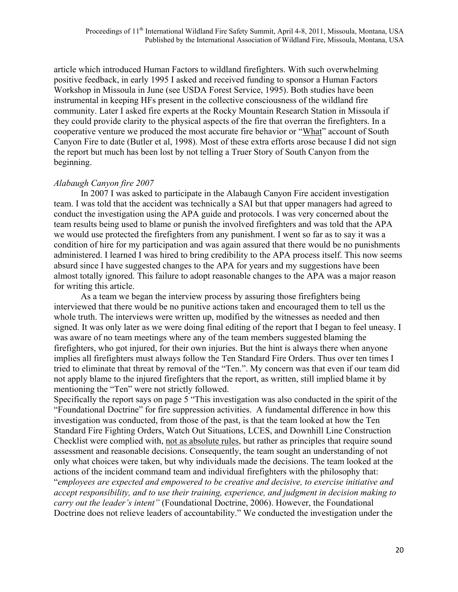article which introduced Human Factors to wildland firefighters. With such overwhelming positive feedback, in early 1995 I asked and received funding to sponsor a Human Factors Workshop in Missoula in June (see USDA Forest Service, 1995). Both studies have been instrumental in keeping HFs present in the collective consciousness of the wildland fire community. Later I asked fire experts at the Rocky Mountain Research Station in Missoula if they could provide clarity to the physical aspects of the fire that overran the firefighters. In a cooperative venture we produced the most accurate fire behavior or "What" account of South Canyon Fire to date (Butler et al, 1998). Most of these extra efforts arose because I did not sign the report but much has been lost by not telling a Truer Story of South Canyon from the beginning.

### *Alabaugh Canyon fire 2007*

 In 2007 I was asked to participate in the Alabaugh Canyon Fire accident investigation team. I was told that the accident was technically a SAI but that upper managers had agreed to conduct the investigation using the APA guide and protocols. I was very concerned about the team results being used to blame or punish the involved firefighters and was told that the APA we would use protected the firefighters from any punishment. I went so far as to say it was a condition of hire for my participation and was again assured that there would be no punishments administered. I learned I was hired to bring credibility to the APA process itself. This now seems absurd since I have suggested changes to the APA for years and my suggestions have been almost totally ignored. This failure to adopt reasonable changes to the APA was a major reason for writing this article.

 As a team we began the interview process by assuring those firefighters being interviewed that there would be no punitive actions taken and encouraged them to tell us the whole truth. The interviews were written up, modified by the witnesses as needed and then signed. It was only later as we were doing final editing of the report that I began to feel uneasy. I was aware of no team meetings where any of the team members suggested blaming the firefighters, who got injured, for their own injuries. But the hint is always there when anyone implies all firefighters must always follow the Ten Standard Fire Orders. Thus over ten times I tried to eliminate that threat by removal of the "Ten.". My concern was that even if our team did not apply blame to the injured firefighters that the report, as written, still implied blame it by mentioning the "Ten" were not strictly followed.

Specifically the report says on page 5 "This investigation was also conducted in the spirit of the "Foundational Doctrine" for fire suppression activities. A fundamental difference in how this investigation was conducted, from those of the past, is that the team looked at how the Ten Standard Fire Fighting Orders, Watch Out Situations, LCES, and Downhill Line Construction Checklist were complied with, not as absolute rules, but rather as principles that require sound assessment and reasonable decisions. Consequently, the team sought an understanding of not only what choices were taken, but why individuals made the decisions. The team looked at the actions of the incident command team and individual firefighters with the philosophy that:

"*employees are expected and empowered to be creative and decisive, to exercise initiative and accept responsibility, and to use their training, experience, and judgment in decision making to carry out the leader's intent"* (Foundational Doctrine, 2006). However, the Foundational Doctrine does not relieve leaders of accountability." We conducted the investigation under the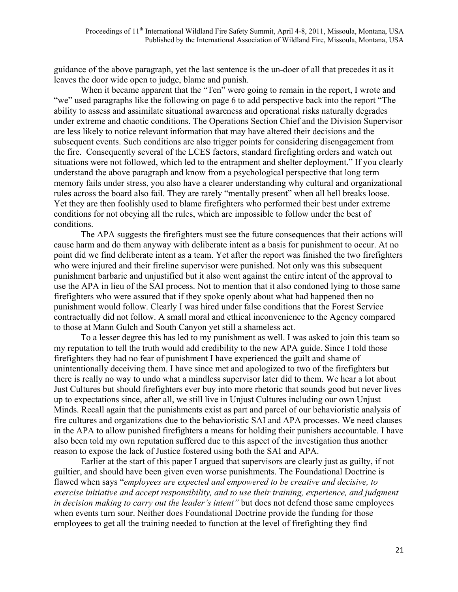guidance of the above paragraph, yet the last sentence is the un-doer of all that precedes it as it leaves the door wide open to judge, blame and punish.

When it became apparent that the "Ten" were going to remain in the report, I wrote and "we" used paragraphs like the following on page 6 to add perspective back into the report "The ability to assess and assimilate situational awareness and operational risks naturally degrades under extreme and chaotic conditions. The Operations Section Chief and the Division Supervisor are less likely to notice relevant information that may have altered their decisions and the subsequent events. Such conditions are also trigger points for considering disengagement from the fire. Consequently several of the LCES factors, standard firefighting orders and watch out situations were not followed, which led to the entrapment and shelter deployment." If you clearly understand the above paragraph and know from a psychological perspective that long term memory fails under stress, you also have a clearer understanding why cultural and organizational rules across the board also fail. They are rarely "mentally present" when all hell breaks loose. Yet they are then foolishly used to blame firefighters who performed their best under extreme conditions for not obeying all the rules, which are impossible to follow under the best of conditions.

 The APA suggests the firefighters must see the future consequences that their actions will cause harm and do them anyway with deliberate intent as a basis for punishment to occur. At no point did we find deliberate intent as a team. Yet after the report was finished the two firefighters who were injured and their fireline supervisor were punished. Not only was this subsequent punishment barbaric and unjustified but it also went against the entire intent of the approval to use the APA in lieu of the SAI process. Not to mention that it also condoned lying to those same firefighters who were assured that if they spoke openly about what had happened then no punishment would follow. Clearly I was hired under false conditions that the Forest Service contractually did not follow. A small moral and ethical inconvenience to the Agency compared to those at Mann Gulch and South Canyon yet still a shameless act.

 To a lesser degree this has led to my punishment as well. I was asked to join this team so my reputation to tell the truth would add credibility to the new APA guide. Since I told those firefighters they had no fear of punishment I have experienced the guilt and shame of unintentionally deceiving them. I have since met and apologized to two of the firefighters but there is really no way to undo what a mindless supervisor later did to them. We hear a lot about Just Cultures but should firefighters ever buy into more rhetoric that sounds good but never lives up to expectations since, after all, we still live in Unjust Cultures including our own Unjust Minds. Recall again that the punishments exist as part and parcel of our behavioristic analysis of fire cultures and organizations due to the behavioristic SAI and APA processes. We need clauses in the APA to allow punished firefighters a means for holding their punishers accountable. I have also been told my own reputation suffered due to this aspect of the investigation thus another reason to expose the lack of Justice fostered using both the SAI and APA.

 Earlier at the start of this paper I argued that supervisors are clearly just as guilty, if not guiltier, and should have been given even worse punishments. The Foundational Doctrine is flawed when says "*employees are expected and empowered to be creative and decisive, to exercise initiative and accept responsibility, and to use their training, experience, and judgment in decision making to carry out the leader's intent"* but does not defend those same employees when events turn sour. Neither does Foundational Doctrine provide the funding for those employees to get all the training needed to function at the level of firefighting they find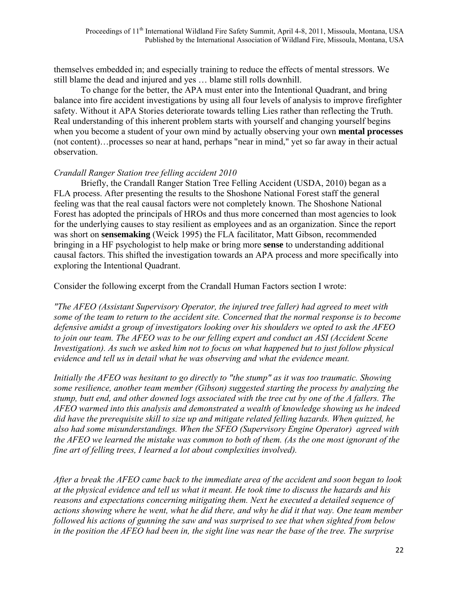themselves embedded in; and especially training to reduce the effects of mental stressors. We still blame the dead and injured and yes … blame still rolls downhill.

 To change for the better, the APA must enter into the Intentional Quadrant, and bring balance into fire accident investigations by using all four levels of analysis to improve firefighter safety. Without it APA Stories deteriorate towards telling Lies rather than reflecting the Truth. Real understanding of this inherent problem starts with yourself and changing yourself begins when you become a student of your own mind by actually observing your own **mental processes** (not content)…processes so near at hand, perhaps "near in mind," yet so far away in their actual observation.

### *Crandall Ranger Station tree felling accident 2010*

 Briefly, the Crandall Ranger Station Tree Felling Accident (USDA, 2010) began as a FLA process. After presenting the results to the Shoshone National Forest staff the general feeling was that the real causal factors were not completely known. The Shoshone National Forest has adopted the principals of HROs and thus more concerned than most agencies to look for the underlying causes to stay resilient as employees and as an organization. Since the report was short on **sensemaking** (Weick 1995) the FLA facilitator, Matt Gibson, recommended bringing in a HF psychologist to help make or bring more **sense** to understanding additional causal factors. This shifted the investigation towards an APA process and more specifically into exploring the Intentional Quadrant.

Consider the following excerpt from the Crandall Human Factors section I wrote:

*"The AFEO (Assistant Supervisory Operator, the injured tree faller) had agreed to meet with some of the team to return to the accident site. Concerned that the normal response is to become defensive amidst a group of investigators looking over his shoulders we opted to ask the AFEO to join our team. The AFEO was to be our felling expert and conduct an ASI (Accident Scene Investigation). As such we asked him not to focus on what happened but to just follow physical evidence and tell us in detail what he was observing and what the evidence meant.* 

*Initially the AFEO was hesitant to go directly to "the stump" as it was too traumatic. Showing some resilience, another team member (Gibson) suggested starting the process by analyzing the stump, butt end, and other downed logs associated with the tree cut by one of the A fallers. The AFEO warmed into this analysis and demonstrated a wealth of knowledge showing us he indeed did have the prerequisite skill to size up and mitigate related felling hazards. When quizzed, he also had some misunderstandings. When the SFEO (Supervisory Engine Operator) agreed with the AFEO we learned the mistake was common to both of them. (As the one most ignorant of the fine art of felling trees, I learned a lot about complexities involved).* 

*After a break the AFEO came back to the immediate area of the accident and soon began to look at the physical evidence and tell us what it meant. He took time to discuss the hazards and his reasons and expectations concerning mitigating them. Next he executed a detailed sequence of actions showing where he went, what he did there, and why he did it that way. One team member followed his actions of gunning the saw and was surprised to see that when sighted from below in the position the AFEO had been in, the sight line was near the base of the tree. The surprise*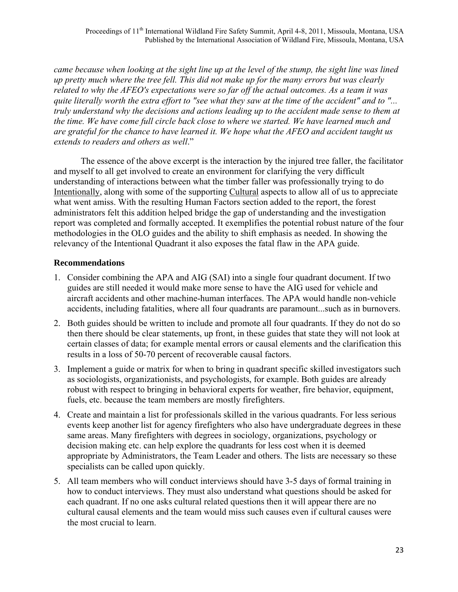*came because when looking at the sight line up at the level of the stump, the sight line was lined up pretty much where the tree fell. This did not make up for the many errors but was clearly related to why the AFEO's expectations were so far off the actual outcomes. As a team it was quite literally worth the extra effort to "see what they saw at the time of the accident" and to "... truly understand why the decisions and actions leading up to the accident made sense to them at the time. We have come full circle back close to where we started. We have learned much and are grateful for the chance to have learned it. We hope what the AFEO and accident taught us extends to readers and others as well*."

 The essence of the above excerpt is the interaction by the injured tree faller, the facilitator and myself to all get involved to create an environment for clarifying the very difficult understanding of interactions between what the timber faller was professionally trying to do Intentionally, along with some of the supporting Cultural aspects to allow all of us to appreciate what went amiss. With the resulting Human Factors section added to the report, the forest administrators felt this addition helped bridge the gap of understanding and the investigation report was completed and formally accepted. It exemplifies the potential robust nature of the four methodologies in the OLO guides and the ability to shift emphasis as needed. In showing the relevancy of the Intentional Quadrant it also exposes the fatal flaw in the APA guide.

# **Recommendations**

- 1. Consider combining the APA and AIG (SAI) into a single four quadrant document. If two guides are still needed it would make more sense to have the AIG used for vehicle and aircraft accidents and other machine-human interfaces. The APA would handle non-vehicle accidents, including fatalities, where all four quadrants are paramount...such as in burnovers.
- 2. Both guides should be written to include and promote all four quadrants. If they do not do so then there should be clear statements, up front, in these guides that state they will not look at certain classes of data; for example mental errors or causal elements and the clarification this results in a loss of 50-70 percent of recoverable causal factors.
- 3. Implement a guide or matrix for when to bring in quadrant specific skilled investigators such as sociologists, organizationists, and psychologists, for example. Both guides are already robust with respect to bringing in behavioral experts for weather, fire behavior, equipment, fuels, etc. because the team members are mostly firefighters.
- 4. Create and maintain a list for professionals skilled in the various quadrants. For less serious events keep another list for agency firefighters who also have undergraduate degrees in these same areas. Many firefighters with degrees in sociology, organizations, psychology or decision making etc. can help explore the quadrants for less cost when it is deemed appropriate by Administrators, the Team Leader and others. The lists are necessary so these specialists can be called upon quickly.
- 5. All team members who will conduct interviews should have 3-5 days of formal training in how to conduct interviews. They must also understand what questions should be asked for each quadrant. If no one asks cultural related questions then it will appear there are no cultural causal elements and the team would miss such causes even if cultural causes were the most crucial to learn.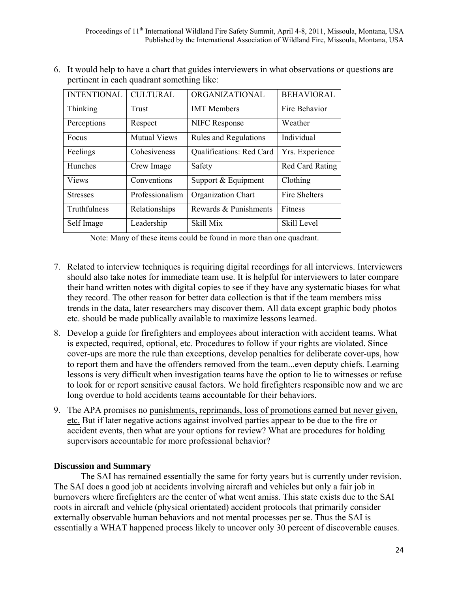6. It would help to have a chart that guides interviewers in what observations or questions are pertinent in each quadrant something like:

| <b>INTENTIONAL</b> | <b>CULTURAL</b>     | ORGANIZATIONAL               | <b>BEHAVIORAL</b>      |
|--------------------|---------------------|------------------------------|------------------------|
| Thinking           | Trust               | <b>IMT</b> Members           | Fire Behavior          |
| Perceptions        | Respect             | <b>NIFC Response</b>         | Weather                |
| Focus              | <b>Mutual Views</b> | <b>Rules and Regulations</b> | Individual             |
| Feelings           | Cohesiveness        | Qualifications: Red Card     | Yrs. Experience        |
| Hunches            | Crew Image          | Safety                       | <b>Red Card Rating</b> |
| <b>Views</b>       | Conventions         | Support & Equipment          | Clothing               |
| <b>Stresses</b>    | Professionalism     | <b>Organization Chart</b>    | <b>Fire Shelters</b>   |
| Truthfulness       | Relationships       | Rewards & Punishments        | Fitness                |
| Self Image         | Leadership          | <b>Skill Mix</b>             | Skill Level            |

Note: Many of these items could be found in more than one quadrant.

- 7. Related to interview techniques is requiring digital recordings for all interviews. Interviewers should also take notes for immediate team use. It is helpful for interviewers to later compare their hand written notes with digital copies to see if they have any systematic biases for what they record. The other reason for better data collection is that if the team members miss trends in the data, later researchers may discover them. All data except graphic body photos etc. should be made publically available to maximize lessons learned.
- 8. Develop a guide for firefighters and employees about interaction with accident teams. What is expected, required, optional, etc. Procedures to follow if your rights are violated. Since cover-ups are more the rule than exceptions, develop penalties for deliberate cover-ups, how to report them and have the offenders removed from the team...even deputy chiefs. Learning lessons is very difficult when investigation teams have the option to lie to witnesses or refuse to look for or report sensitive causal factors. We hold firefighters responsible now and we are long overdue to hold accidents teams accountable for their behaviors.
- 9. The APA promises no punishments, reprimands, loss of promotions earned but never given, etc. But if later negative actions against involved parties appear to be due to the fire or accident events, then what are your options for review? What are procedures for holding supervisors accountable for more professional behavior?

### **Discussion and Summary**

 The SAI has remained essentially the same for forty years but is currently under revision. The SAI does a good job at accidents involving aircraft and vehicles but only a fair job in burnovers where firefighters are the center of what went amiss. This state exists due to the SAI roots in aircraft and vehicle (physical orientated) accident protocols that primarily consider externally observable human behaviors and not mental processes per se. Thus the SAI is essentially a WHAT happened process likely to uncover only 30 percent of discoverable causes.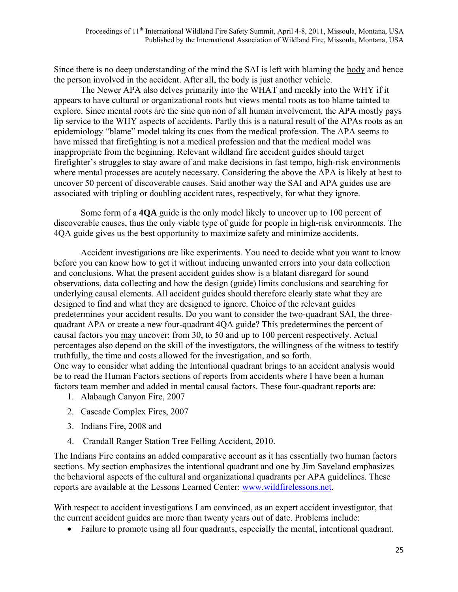Since there is no deep understanding of the mind the SAI is left with blaming the body and hence the person involved in the accident. After all, the body is just another vehicle.

 The Newer APA also delves primarily into the WHAT and meekly into the WHY if it appears to have cultural or organizational roots but views mental roots as too blame tainted to explore. Since mental roots are the sine qua non of all human involvement, the APA mostly pays lip service to the WHY aspects of accidents. Partly this is a natural result of the APAs roots as an epidemiology "blame" model taking its cues from the medical profession. The APA seems to have missed that firefighting is not a medical profession and that the medical model was inappropriate from the beginning. Relevant wildland fire accident guides should target firefighter's struggles to stay aware of and make decisions in fast tempo, high-risk environments where mental processes are acutely necessary. Considering the above the APA is likely at best to uncover 50 percent of discoverable causes. Said another way the SAI and APA guides use are associated with tripling or doubling accident rates, respectively, for what they ignore.

 Some form of a **4QA** guide is the only model likely to uncover up to 100 percent of discoverable causes, thus the only viable type of guide for people in high-risk environments. The 4QA guide gives us the best opportunity to maximize safety and minimize accidents.

 Accident investigations are like experiments. You need to decide what you want to know before you can know how to get it without inducing unwanted errors into your data collection and conclusions. What the present accident guides show is a blatant disregard for sound observations, data collecting and how the design (guide) limits conclusions and searching for underlying causal elements. All accident guides should therefore clearly state what they are designed to find and what they are designed to ignore. Choice of the relevant guides predetermines your accident results. Do you want to consider the two-quadrant SAI, the threequadrant APA or create a new four-quadrant 4QA guide? This predetermines the percent of causal factors you may uncover: from 30, to 50 and up to 100 percent respectively. Actual percentages also depend on the skill of the investigators, the willingness of the witness to testify truthfully, the time and costs allowed for the investigation, and so forth. One way to consider what adding the Intentional quadrant brings to an accident analysis would be to read the Human Factors sections of reports from accidents where I have been a human factors team member and added in mental causal factors. These four-quadrant reports are:

- 1. Alabaugh Canyon Fire, 2007
- 2. Cascade Complex Fires, 2007
- 3. Indians Fire, 2008 and
- 4. Crandall Ranger Station Tree Felling Accident, 2010.

The Indians Fire contains an added comparative account as it has essentially two human factors sections. My section emphasizes the intentional quadrant and one by Jim Saveland emphasizes the behavioral aspects of the cultural and organizational quadrants per APA guidelines. These reports are available at the Lessons Learned Center: www.wildfirelessons.net.

With respect to accident investigations I am convinced, as an expert accident investigator, that the current accident guides are more than twenty years out of date. Problems include:

• Failure to promote using all four quadrants, especially the mental, intentional quadrant.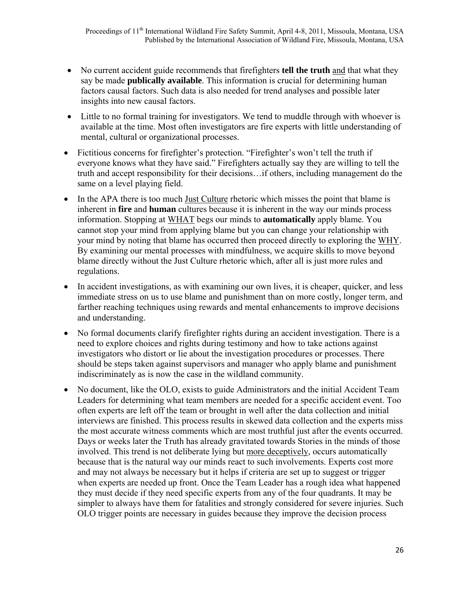- No current accident guide recommends that firefighters **tell the truth** and that what they say be made **publically available**. This information is crucial for determining human factors causal factors. Such data is also needed for trend analyses and possible later insights into new causal factors.
- Little to no formal training for investigators. We tend to muddle through with whoever is available at the time. Most often investigators are fire experts with little understanding of mental, cultural or organizational processes.
- Fictitious concerns for firefighter's protection. "Firefighter's won't tell the truth if everyone knows what they have said." Firefighters actually say they are willing to tell the truth and accept responsibility for their decisions…if others, including management do the same on a level playing field.
- In the APA there is too much Just Culture rhetoric which misses the point that blame is inherent in **fire** and **human** cultures because it is inherent in the way our minds process information. Stopping at WHAT begs our minds to **automatically** apply blame. You cannot stop your mind from applying blame but you can change your relationship with your mind by noting that blame has occurred then proceed directly to exploring the WHY. By examining our mental processes with mindfulness, we acquire skills to move beyond blame directly without the Just Culture rhetoric which, after all is just more rules and regulations.
- In accident investigations, as with examining our own lives, it is cheaper, quicker, and less immediate stress on us to use blame and punishment than on more costly, longer term, and farther reaching techniques using rewards and mental enhancements to improve decisions and understanding.
- No formal documents clarify firefighter rights during an accident investigation. There is a need to explore choices and rights during testimony and how to take actions against investigators who distort or lie about the investigation procedures or processes. There should be steps taken against supervisors and manager who apply blame and punishment indiscriminately as is now the case in the wildland community.
- No document, like the OLO, exists to guide Administrators and the initial Accident Team Leaders for determining what team members are needed for a specific accident event. Too often experts are left off the team or brought in well after the data collection and initial interviews are finished. This process results in skewed data collection and the experts miss the most accurate witness comments which are most truthful just after the events occurred. Days or weeks later the Truth has already gravitated towards Stories in the minds of those involved. This trend is not deliberate lying but more deceptively, occurs automatically because that is the natural way our minds react to such involvements. Experts cost more and may not always be necessary but it helps if criteria are set up to suggest or trigger when experts are needed up front. Once the Team Leader has a rough idea what happened they must decide if they need specific experts from any of the four quadrants. It may be simpler to always have them for fatalities and strongly considered for severe injuries. Such OLO trigger points are necessary in guides because they improve the decision process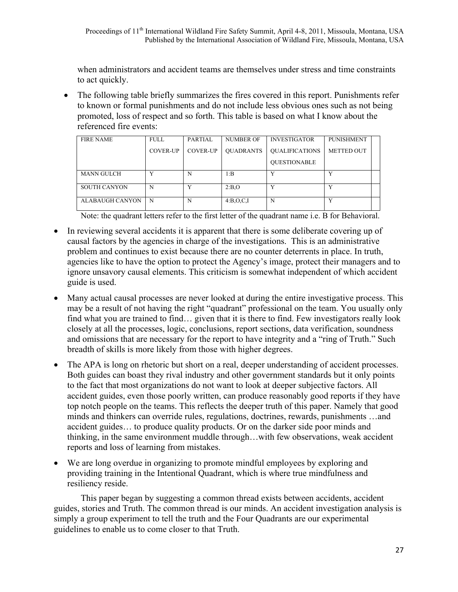when administrators and accident teams are themselves under stress and time constraints to act quickly.

 The following table briefly summarizes the fires covered in this report. Punishments refer to known or formal punishments and do not include less obvious ones such as not being promoted, loss of respect and so forth. This table is based on what I know about the referenced fire events:

| <b>FIRE NAME</b>    | <b>FULL</b>     | PARTIAL         | <b>NUMBER OF</b>   | <b>INVESTIGATOR</b>   | <b>PUNISHMENT</b> |  |
|---------------------|-----------------|-----------------|--------------------|-----------------------|-------------------|--|
|                     | <b>COVER-UP</b> | <b>COVER-UP</b> | <b>OUADRANTS</b>   | <b>OUALIFICATIONS</b> | <b>METTED OUT</b> |  |
|                     |                 |                 |                    | <b>OUESTIONABLE</b>   |                   |  |
| <b>MANN GULCH</b>   | v               | N               | 1:B                | Y                     | v                 |  |
| <b>SOUTH CANYON</b> | N               |                 | 2:B.O              | v                     |                   |  |
| ALABAUGH CANYON     | N               | N               | $4:BA$ , $O, C, I$ | N                     | v                 |  |

Note: the quadrant letters refer to the first letter of the quadrant name i.e. B for Behavioral.

- In reviewing several accidents it is apparent that there is some deliberate covering up of causal factors by the agencies in charge of the investigations. This is an administrative problem and continues to exist because there are no counter deterrents in place. In truth, agencies like to have the option to protect the Agency's image, protect their managers and to ignore unsavory causal elements. This criticism is somewhat independent of which accident guide is used.
- Many actual causal processes are never looked at during the entire investigative process. This may be a result of not having the right "quadrant" professional on the team. You usually only find what you are trained to find… given that it is there to find. Few investigators really look closely at all the processes, logic, conclusions, report sections, data verification, soundness and omissions that are necessary for the report to have integrity and a "ring of Truth." Such breadth of skills is more likely from those with higher degrees.
- The APA is long on rhetoric but short on a real, deeper understanding of accident processes. Both guides can boast they rival industry and other government standards but it only points to the fact that most organizations do not want to look at deeper subjective factors. All accident guides, even those poorly written, can produce reasonably good reports if they have top notch people on the teams. This reflects the deeper truth of this paper. Namely that good minds and thinkers can override rules, regulations, doctrines, rewards, punishments …and accident guides… to produce quality products. Or on the darker side poor minds and thinking, in the same environment muddle through…with few observations, weak accident reports and loss of learning from mistakes.
- We are long overdue in organizing to promote mindful employees by exploring and providing training in the Intentional Quadrant, which is where true mindfulness and resiliency reside.

 This paper began by suggesting a common thread exists between accidents, accident guides, stories and Truth. The common thread is our minds. An accident investigation analysis is simply a group experiment to tell the truth and the Four Quadrants are our experimental guidelines to enable us to come closer to that Truth.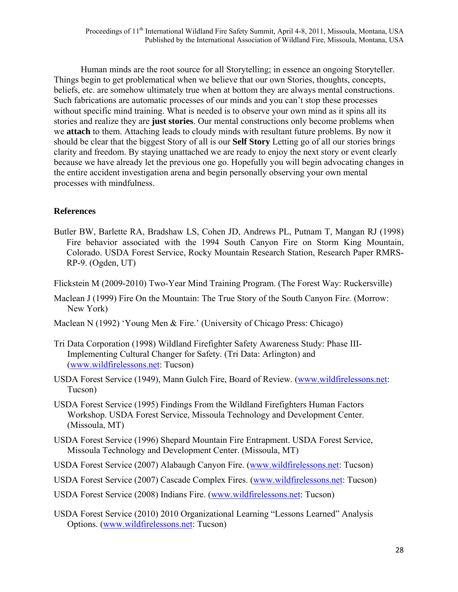Human minds are the root source for all Storytelling; in essence an ongoing Storyteller. Things begin to get problematical when we believe that our own Stories, thoughts, concepts, beliefs, etc. are somehow ultimately true when at bottom they are always mental constructions. Such fabrications are automatic processes of our minds and you can't stop these processes without specific mind training. What is needed is to observe your own mind as it spins all its stories and realize they are **just stories**. Our mental constructions only become problems when we **attach** to them. Attaching leads to cloudy minds with resultant future problems. By now it should be clear that the biggest Story of all is our **Self Story** Letting go of all our stories brings clarity and freedom. By staying unattached we are ready to enjoy the next story or event clearly because we have already let the previous one go. Hopefully you will begin advocating changes in the entire accident investigation arena and begin personally observing your own mental processes with mindfulness.

### **References**

- Butler BW, Barlette RA, Bradshaw LS, Cohen JD, Andrews PL, Putnam T, Mangan RJ (1998) Fire behavior associated with the 1994 South Canyon Fire on Storm King Mountain, Colorado. USDA Forest Service, Rocky Mountain Research Station, Research Paper RMRS-RP-9. (Ogden, UT)
- Flickstein M (2009-2010) Two-Year Mind Training Program. (The Forest Way: Ruckersville)
- Maclean J (1999) Fire On the Mountain: The True Story of the South Canyon Fir*e.* (Morrow: New York)
- Maclean N (1992) 'Young Men & Fire.' (University of Chicago Press: Chicago)
- Tri Data Corporation (1998) Wildland Firefighter Safety Awareness Study: Phase III-Implementing Cultural Changer for Safety. (Tri Data: Arlington) and (www.wildfirelessons.net: Tucson)
- USDA Forest Service (1949), Mann Gulch Fire, Board of Review. (www.wildfirelessons.net: Tucson)
- USDA Forest Service (1995) Findings From the Wildland Firefighters Human Factors Workshop. USDA Forest Service, Missoula Technology and Development Center. (Missoula, MT)
- USDA Forest Service (1996) Shepard Mountain Fire Entrapment. USDA Forest Service, Missoula Technology and Development Center. (Missoula, MT)
- USDA Forest Service (2007) Alabaugh Canyon Fire. (www.wildfirelessons.net: Tucson)
- USDA Forest Service (2007) Cascade Complex Fires. (www.wildfirelessons.net: Tucson)
- USDA Forest Service (2008) Indians Fire. (www.wildfirelessons.net: Tucson)
- USDA Forest Service (2010) 2010 Organizational Learning "Lessons Learned" Analysis Options. (www.wildfirelessons.net: Tucson)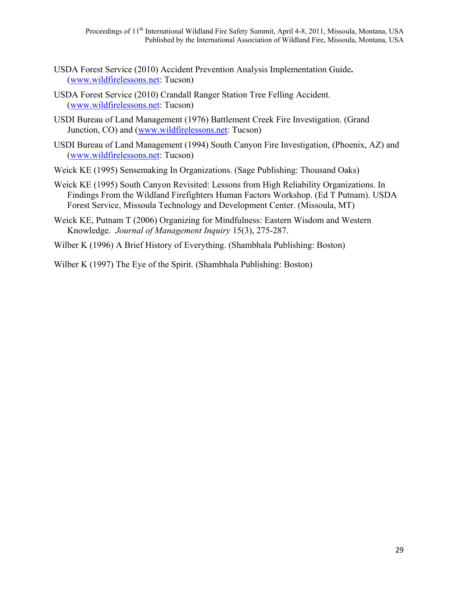- USDA Forest Service (2010) Accident Prevention Analysis Implementation Guide**.** (www.wildfirelessons.net: Tucson)
- USDA Forest Service (2010) Crandall Ranger Station Tree Felling Accident. (www.wildfirelessons.net: Tucson)
- USDI Bureau of Land Management (1976) Battlement Creek Fire Investigation. (Grand Junction, CO) and (www.wildfirelessons.net: Tucson)
- USDI Bureau of Land Management (1994) South Canyon Fire Investigation, (Phoenix, AZ) and (www.wildfirelessons.net: Tucson)
- Weick KE (1995) Sensemaking In Organizations. (Sage Publishing: Thousand Oaks)
- Weick KE (1995) South Canyon Revisited: Lessons from High Reliability Organizations. In Findings From the Wildland Firefighters Human Factors Workshop. (Ed T Putnam). USDA Forest Service, Missoula Technology and Development Center. (Missoula, MT)
- Weick KE, Putnam T (2006) Organizing for Mindfulness: Eastern Wisdom and Western Knowledge. *Journal of Management Inquiry* 15(3), 275-287.
- Wilber K (1996) A Brief History of Everything. (Shambhala Publishing: Boston)
- Wilber K (1997) The Eye of the Spirit. (Shambhala Publishing: Boston)